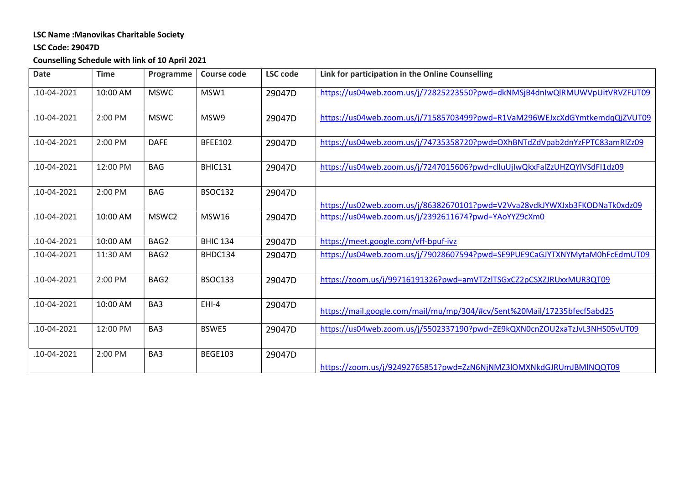## LSC Name :Manovikas Charitable Society

#### LSC Code: 29047D

# Counselling Schedule with link of 10 April 2021

| <b>Date</b> | <b>Time</b> | Programme   | Course code     | <b>LSC</b> code | Link for participation in the Online Counselling                           |
|-------------|-------------|-------------|-----------------|-----------------|----------------------------------------------------------------------------|
| .10-04-2021 | 10:00 AM    | <b>MSWC</b> | MSW1            | 29047D          | https://us04web.zoom.us/j/72825223550?pwd=dkNMSjB4dnIwQlRMUWVpUitVRVZFUT09 |
| .10-04-2021 | 2:00 PM     | <b>MSWC</b> | MSW9            | 29047D          | https://us04web.zoom.us/j/71585703499?pwd=R1VaM296WEJxcXdGYmtkemdqQjZVUT09 |
| .10-04-2021 | 2:00 PM     | <b>DAFE</b> | <b>BFEE102</b>  | 29047D          | https://us04web.zoom.us/j/74735358720?pwd=OXhBNTdZdVpab2dnYzFPTC83amRlZz09 |
| .10-04-2021 | 12:00 PM    | <b>BAG</b>  | <b>BHIC131</b>  | 29047D          | https://us04web.zoom.us/j/7247015606?pwd=clluUjIwQkxFalZzUHZQYlVSdFI1dz09  |
| .10-04-2021 | 2:00 PM     | <b>BAG</b>  | <b>BSOC132</b>  | 29047D          | https://us02web.zoom.us/j/86382670101?pwd=V2Vva28vdkJYWXJxb3FKODNaTk0xdz09 |
| .10-04-2021 | 10:00 AM    | MSWC2       | <b>MSW16</b>    | 29047D          | https://us04web.zoom.us/j/2392611674?pwd=YAoYYZ9cXm0                       |
| .10-04-2021 | 10:00 AM    | BAG2        | <b>BHIC 134</b> | 29047D          | https://meet.google.com/vff-bpuf-ivz                                       |
| .10-04-2021 | 11:30 AM    | BAG2        | BHDC134         | 29047D          | https://us04web.zoom.us/j/79028607594?pwd=SE9PUE9CaGJYTXNYMytaM0hFcEdmUT09 |
| .10-04-2021 | 2:00 PM     | BAG2        | <b>BSOC133</b>  | 29047D          | https://zoom.us/j/99716191326?pwd=amVTZzlTSGxCZ2pCSXZJRUxxMUR3QT09         |
| .10-04-2021 | 10:00 AM    | BA3         | EHI-4           | 29047D          | https://mail.google.com/mail/mu/mp/304/#cv/Sent%20Mail/17235bfecf5abd25    |
| .10-04-2021 | 12:00 PM    | BA3         | BSWE5           | 29047D          | https://us04web.zoom.us/j/5502337190?pwd=ZE9kQXN0cnZOU2xaTzJvL3NHS05vUT09  |
| .10-04-2021 | 2:00 PM     | BA3         | <b>BEGE103</b>  | 29047D          | https://zoom.us/j/92492765851?pwd=ZzN6NjNMZ3lOMXNkdGJRUmJBMlNQQT09         |